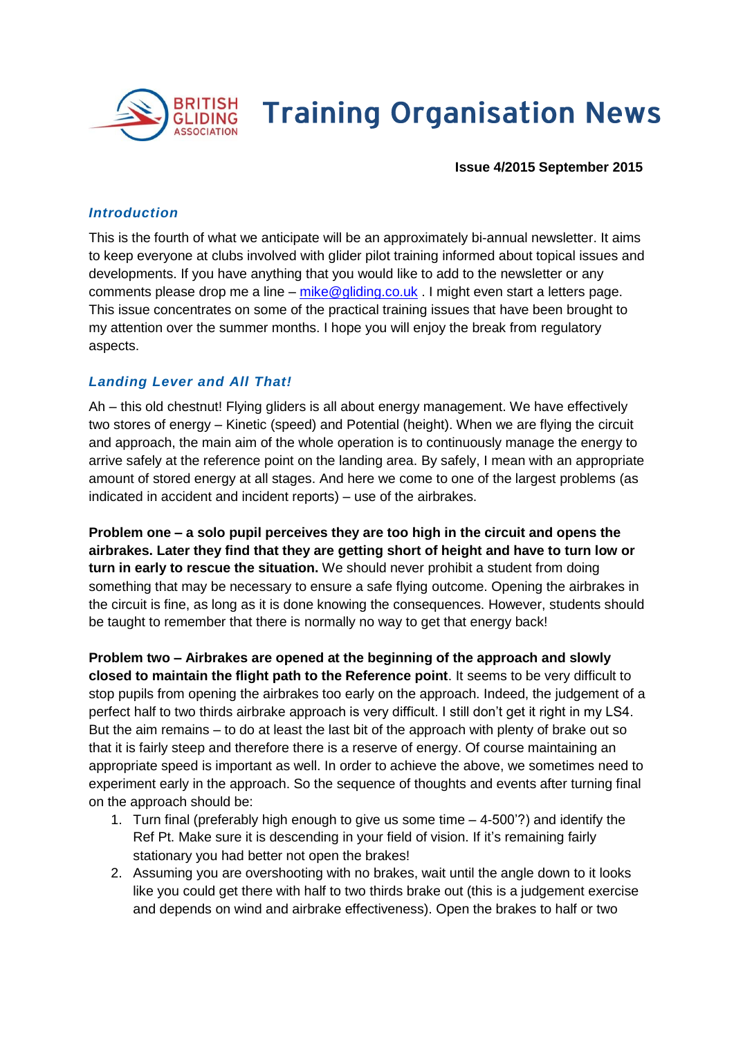

# **Training Organisation News**

 **Issue 4/2015 September 2015**

#### *Introduction*

This is the fourth of what we anticipate will be an approximately bi-annual newsletter. It aims to keep everyone at clubs involved with glider pilot training informed about topical issues and developments. If you have anything that you would like to add to the newsletter or any comments please drop me a line – [mike@gliding.co.uk](mailto:mike@gliding.co.uk) . I might even start a letters page. This issue concentrates on some of the practical training issues that have been brought to my attention over the summer months. I hope you will enjoy the break from regulatory aspects.

#### *Landing Lever and All That!*

Ah – this old chestnut! Flying gliders is all about energy management. We have effectively two stores of energy – Kinetic (speed) and Potential (height). When we are flying the circuit and approach, the main aim of the whole operation is to continuously manage the energy to arrive safely at the reference point on the landing area. By safely, I mean with an appropriate amount of stored energy at all stages. And here we come to one of the largest problems (as indicated in accident and incident reports) – use of the airbrakes.

**Problem one – a solo pupil perceives they are too high in the circuit and opens the airbrakes. Later they find that they are getting short of height and have to turn low or turn in early to rescue the situation.** We should never prohibit a student from doing something that may be necessary to ensure a safe flying outcome. Opening the airbrakes in the circuit is fine, as long as it is done knowing the consequences. However, students should be taught to remember that there is normally no way to get that energy back!

**Problem two – Airbrakes are opened at the beginning of the approach and slowly closed to maintain the flight path to the Reference point**. It seems to be very difficult to stop pupils from opening the airbrakes too early on the approach. Indeed, the judgement of a perfect half to two thirds airbrake approach is very difficult. I still don't get it right in my LS4. But the aim remains – to do at least the last bit of the approach with plenty of brake out so that it is fairly steep and therefore there is a reserve of energy. Of course maintaining an appropriate speed is important as well. In order to achieve the above, we sometimes need to experiment early in the approach. So the sequence of thoughts and events after turning final on the approach should be:

- 1. Turn final (preferably high enough to give us some time 4-500'?) and identify the Ref Pt. Make sure it is descending in your field of vision. If it's remaining fairly stationary you had better not open the brakes!
- 2. Assuming you are overshooting with no brakes, wait until the angle down to it looks like you could get there with half to two thirds brake out (this is a judgement exercise and depends on wind and airbrake effectiveness). Open the brakes to half or two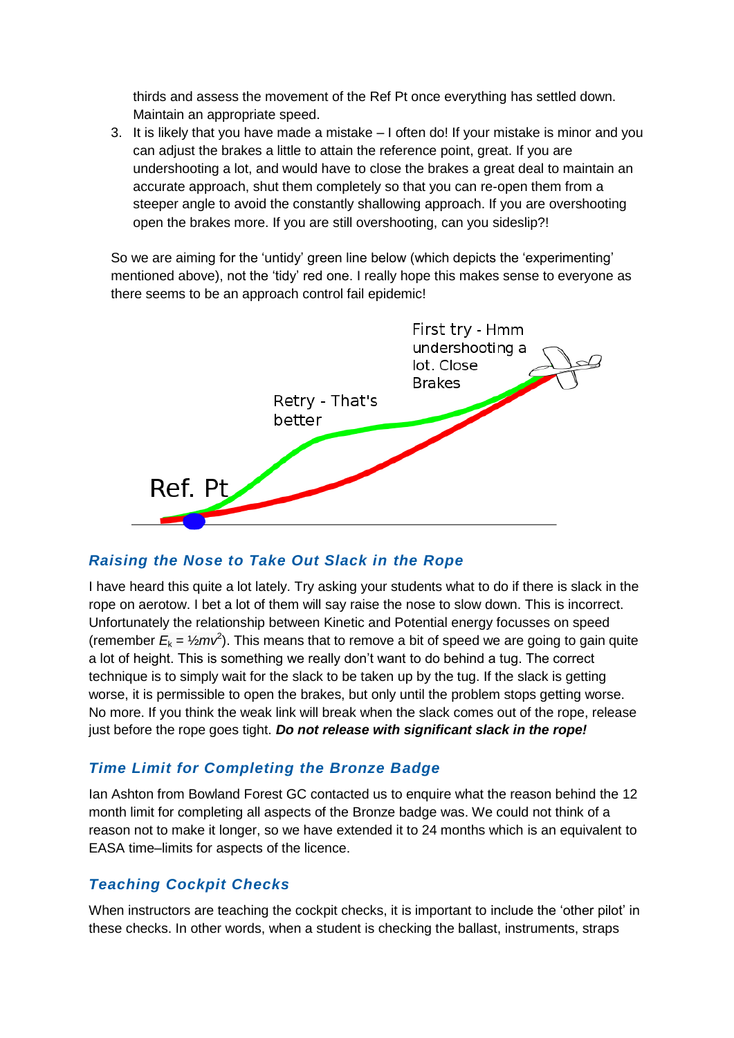thirds and assess the movement of the Ref Pt once everything has settled down. Maintain an appropriate speed.

3. It is likely that you have made a mistake – I often do! If your mistake is minor and you can adjust the brakes a little to attain the reference point, great. If you are undershooting a lot, and would have to close the brakes a great deal to maintain an accurate approach, shut them completely so that you can re-open them from a steeper angle to avoid the constantly shallowing approach. If you are overshooting open the brakes more. If you are still overshooting, can you sideslip?!

So we are aiming for the 'untidy' green line below (which depicts the 'experimenting' mentioned above), not the 'tidy' red one. I really hope this makes sense to everyone as there seems to be an approach control fail epidemic!



## *Raising the Nose to Take Out Slack in the Rope*

I have heard this quite a lot lately. Try asking your students what to do if there is slack in the rope on aerotow. I bet a lot of them will say raise the nose to slow down. This is incorrect. Unfortunately the relationship between Kinetic and Potential energy focusses on speed (remember  $E_k = \frac{1}{2} m v^2$ ). This means that to remove a bit of speed we are going to gain quite a lot of height. This is something we really don't want to do behind a tug. The correct technique is to simply wait for the slack to be taken up by the tug. If the slack is getting worse, it is permissible to open the brakes, but only until the problem stops getting worse. No more. If you think the weak link will break when the slack comes out of the rope, release just before the rope goes tight. *Do not release with significant slack in the rope!*

#### *Time Limit for Completing the Bronze Badge*

Ian Ashton from Bowland Forest GC contacted us to enquire what the reason behind the 12 month limit for completing all aspects of the Bronze badge was. We could not think of a reason not to make it longer, so we have extended it to 24 months which is an equivalent to EASA time–limits for aspects of the licence.

#### *Teaching Cockpit Checks*

When instructors are teaching the cockpit checks, it is important to include the 'other pilot' in these checks. In other words, when a student is checking the ballast, instruments, straps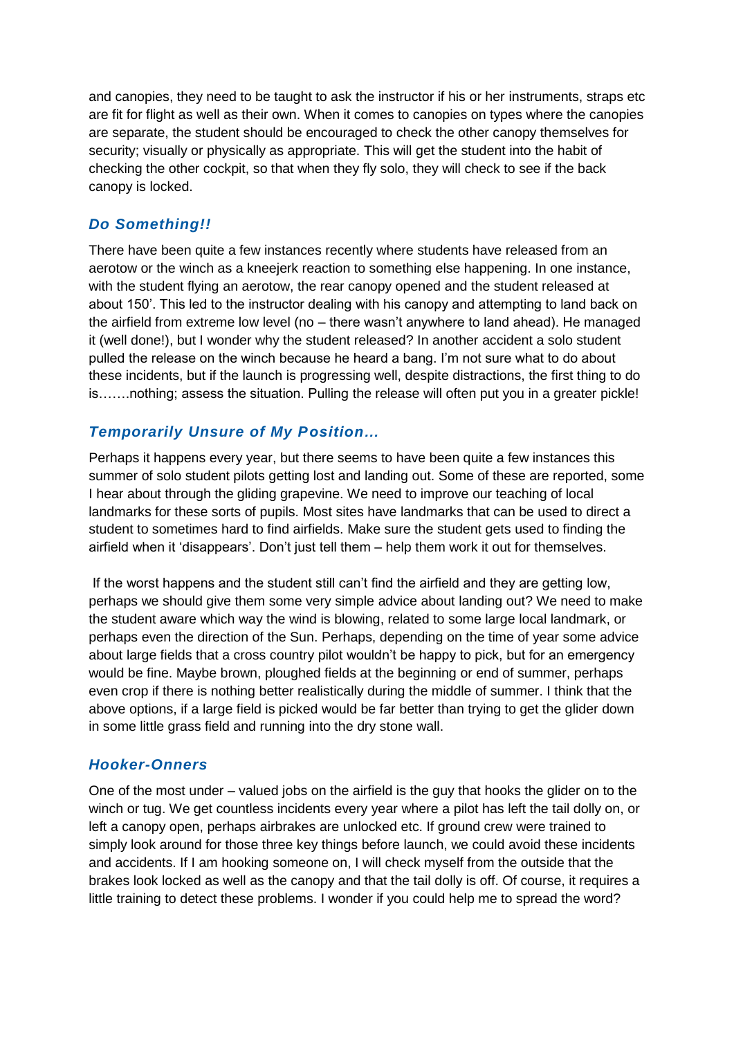and canopies, they need to be taught to ask the instructor if his or her instruments, straps etc are fit for flight as well as their own. When it comes to canopies on types where the canopies are separate, the student should be encouraged to check the other canopy themselves for security; visually or physically as appropriate. This will get the student into the habit of checking the other cockpit, so that when they fly solo, they will check to see if the back canopy is locked.

# *Do Something!!*

There have been quite a few instances recently where students have released from an aerotow or the winch as a kneejerk reaction to something else happening. In one instance, with the student flying an aerotow, the rear canopy opened and the student released at about 150'. This led to the instructor dealing with his canopy and attempting to land back on the airfield from extreme low level (no – there wasn't anywhere to land ahead). He managed it (well done!), but I wonder why the student released? In another accident a solo student pulled the release on the winch because he heard a bang. I'm not sure what to do about these incidents, but if the launch is progressing well, despite distractions, the first thing to do is…….nothing; assess the situation. Pulling the release will often put you in a greater pickle!

# *Temporarily Unsure of My Position…*

Perhaps it happens every year, but there seems to have been quite a few instances this summer of solo student pilots getting lost and landing out. Some of these are reported, some I hear about through the gliding grapevine. We need to improve our teaching of local landmarks for these sorts of pupils. Most sites have landmarks that can be used to direct a student to sometimes hard to find airfields. Make sure the student gets used to finding the airfield when it 'disappears'. Don't just tell them – help them work it out for themselves.

If the worst happens and the student still can't find the airfield and they are getting low, perhaps we should give them some very simple advice about landing out? We need to make the student aware which way the wind is blowing, related to some large local landmark, or perhaps even the direction of the Sun. Perhaps, depending on the time of year some advice about large fields that a cross country pilot wouldn't be happy to pick, but for an emergency would be fine. Maybe brown, ploughed fields at the beginning or end of summer, perhaps even crop if there is nothing better realistically during the middle of summer. I think that the above options, if a large field is picked would be far better than trying to get the glider down in some little grass field and running into the dry stone wall.

## *Hooker-Onners*

One of the most under – valued jobs on the airfield is the guy that hooks the glider on to the winch or tug. We get countless incidents every year where a pilot has left the tail dolly on, or left a canopy open, perhaps airbrakes are unlocked etc. If ground crew were trained to simply look around for those three key things before launch, we could avoid these incidents and accidents. If I am hooking someone on, I will check myself from the outside that the brakes look locked as well as the canopy and that the tail dolly is off. Of course, it requires a little training to detect these problems. I wonder if you could help me to spread the word?